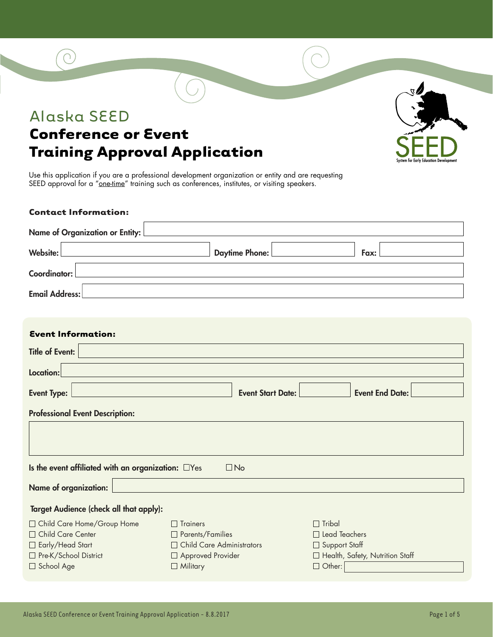### Alaska SEED

### **Conference or Event Training Approval Application**

Use this application if you are a professional development organization or entity and are requesting SEED approval for a "one-time" training such as conferences, institutes, or visiting speakers.

#### **Contact Information:**

| Name of Organization or Entity:                                          |                             |                                 |  |  |
|--------------------------------------------------------------------------|-----------------------------|---------------------------------|--|--|
| Website:                                                                 | <b>Daytime Phone:</b>       | Fax:                            |  |  |
| Coordinator:                                                             |                             |                                 |  |  |
| <b>Email Address:</b>                                                    |                             |                                 |  |  |
| <b>Event Information:</b>                                                |                             |                                 |  |  |
| <b>Title of Event:</b>                                                   |                             |                                 |  |  |
| Location:                                                                |                             |                                 |  |  |
| <b>Event Type:</b><br><b>Event End Date:</b><br><b>Event Start Date:</b> |                             |                                 |  |  |
| <b>Professional Event Description:</b>                                   |                             |                                 |  |  |
|                                                                          |                             |                                 |  |  |
| Is the event affiliated with an organization: $\square$ Yes<br>$\Box$ No |                             |                                 |  |  |
| <b>Name of organization:</b>                                             |                             |                                 |  |  |
| Target Audience (check all that apply):                                  |                             |                                 |  |  |
| □ Child Care Home/Group Home                                             | $\Box$ Trainers             | $\Box$ Tribal                   |  |  |
| Child Care Center                                                        | $\Box$ Parents/Families     | $\Box$ Lead Teachers            |  |  |
| $\Box$ Early/Head Start                                                  | □ Child Care Administrators | $\Box$ Support Staff            |  |  |
| Pre-K/School District                                                    | □ Approved Provider         | Health, Safety, Nutrition Staff |  |  |
| □ School Age                                                             | $\Box$ Military             | $\Box$ Other:                   |  |  |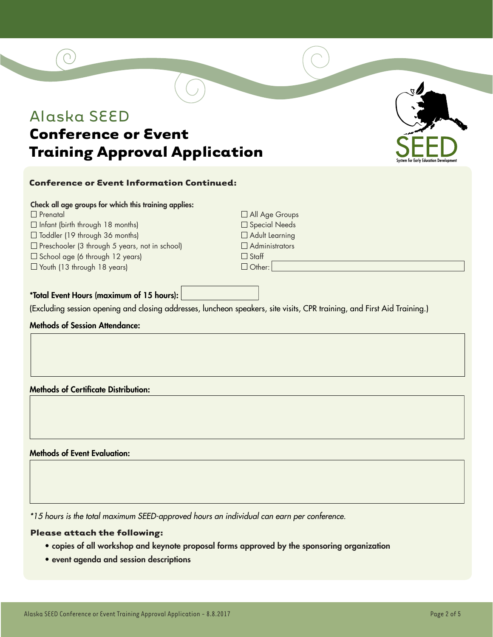### Alaska SEED

### **Conference or Event Training Approval Application**

### **Conference or Event Information Continued:**

|  | Check all age groups for which this training applies: |  |
|--|-------------------------------------------------------|--|
|  |                                                       |  |

- $\Box$  Prenatal
- $\Box$  Infant (birth through 18 months)
- $\Box$  Toddler (19 through 36 months)
- $\square$  Preschooler (3 through 5 years, not in school)
- $\square$  School age (6 through 12 years)
- Youth (13 through 18 years)

All Age Groups □ Special Needs □ Adult Learning  $\Box$  Administrators □ Staff  $\Box$  Other:

#### \*Total Event Hours (maximum of 15 hours):

(Excluding session opening and closing addresses, luncheon speakers, site visits, CPR training, and First Aid Training.)

### Methods of Session Attendance:

Methods of Certificate Distribution:

Methods of Event Evaluation:

*\*15 hours is the total maximum SEED-approved hours an individual can earn per conference.*

### **Please attach the following:**

- copies of all workshop and keynote proposal forms approved by the sponsoring organization
- event agenda and session descriptions

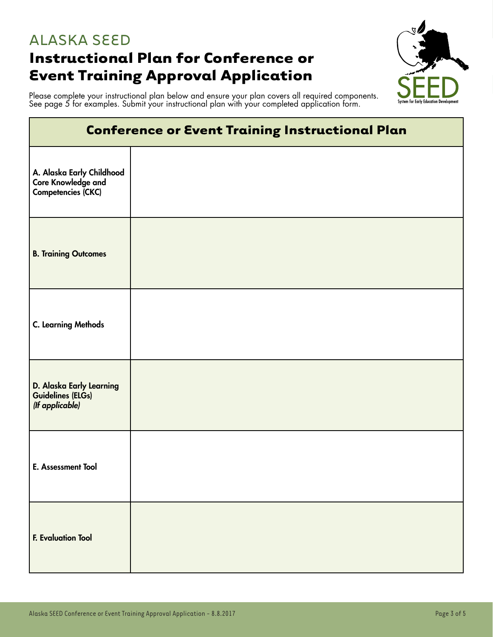### ALASKA SEED **Instructional Plan for Conference or Event Training Approval Application**



Please complete your instructional plan below and ensure your plan covers all required components. See page 5 for examples. Submit your instructional plan with your completed application form.

|                                                                       | . . |  |
|-----------------------------------------------------------------------|-----|--|
| <b>Conference or Event Training Instructional Plan</b>                |     |  |
| A. Alaska Early Childhood<br>Core Knowledge and<br>Competencies (CKC) |     |  |
| <b>B. Training Outcomes</b>                                           |     |  |
| <b>C. Learning Methods</b>                                            |     |  |
| D. Alaska Early Learning<br>Guidelines (ELGs)<br>(If applicable)      |     |  |
| E. Assessment Tool                                                    |     |  |
| <b>F. Evaluation Tool</b>                                             |     |  |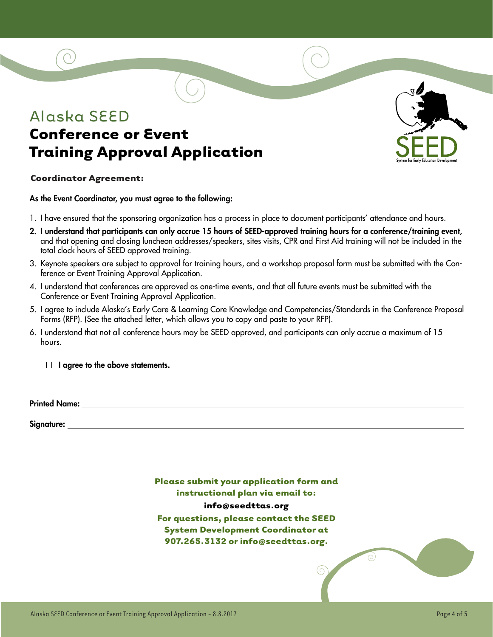### Alaska SEED **Conference or Event Training Approval Application**



#### **Coordinator Agreement:**

As the Event Coordinator, you must agree to the following:

- 1. I have ensured that the sponsoring organization has a process in place to document participants' attendance and hours.
- 2. I understand that participants can only accrue 15 hours of SEED-approved training hours for a conference/training event, and that opening and closing luncheon addresses/speakers, sites visits, CPR and First Aid training will not be included in the total clock hours of SEED approved training.
- 3. Keynote speakers are subject to approval for training hours, and a workshop proposal form must be submitted with the Conference or Event Training Approval Application.
- 4. I understand that conferences are approved as one-time events, and that all future events must be submitted with the Conference or Event Training Approval Application.
- 5. I agree to include Alaska's Early Care & Learning Core Knowledge and Competencies/Standards in the Conference Proposal Forms (RFP). (See the attached letter, which allows you to copy and paste to your RFP).
- 6. I understand that not all conference hours may be SEED approved, and participants can only accrue a maximum of 15 hours.

 $\Box$  I agree to the above statements.

Printed Name:

Signature:

**Please submit your application form and instructional plan via email to: info@seedttas.org For questions, please contact the SEED System Development Coordinator at 907.265.3132 or info@seedttas.org.**

 $\overline{\odot}$